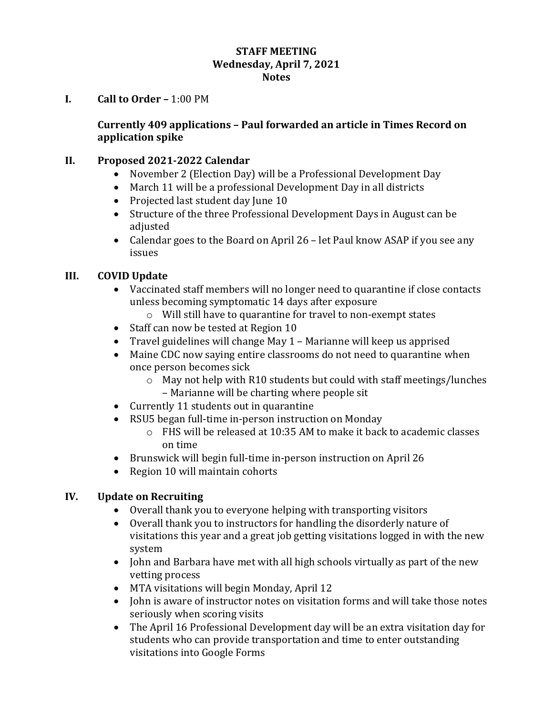#### **STAFF MEETING Wednesday, April 7, 2021 Notes**

#### **I. Call to Order –** 1:00 PM

#### **Currently 409 applications – Paul forwarded an article in Times Record on application spike**

#### **II. Proposed 2021-2022 Calendar**

- November 2 (Election Day) will be a Professional Development Day
- March 11 will be a professional Development Day in all districts
- Projected last student day June 10
- Structure of the three Professional Development Days in August can be adjusted
- Calendar goes to the Board on April 26 let Paul know ASAP if you see any issues

#### **III. COVID Update**

- Vaccinated staff members will no longer need to quarantine if close contacts unless becoming symptomatic 14 days after exposure
	- o Will still have to quarantine for travel to non-exempt states
- Staff can now be tested at Region 10
- Travel guidelines will change May 1 Marianne will keep us apprised
- Maine CDC now saying entire classrooms do not need to quarantine when once person becomes sick
	- o May not help with R10 students but could with staff meetings/lunches – Marianne will be charting where people sit
- Currently 11 students out in quarantine
- RSU5 began full-time in-person instruction on Monday
	- o FHS will be released at 10:35 AM to make it back to academic classes on time
- Brunswick will begin full-time in-person instruction on April 26
- Region 10 will maintain cohorts

### **IV. Update on Recruiting**

- Overall thank you to everyone helping with transporting visitors
- Overall thank you to instructors for handling the disorderly nature of visitations this year and a great job getting visitations logged in with the new system
- John and Barbara have met with all high schools virtually as part of the new vetting process
- MTA visitations will begin Monday, April 12
- John is aware of instructor notes on visitation forms and will take those notes seriously when scoring visits
- The April 16 Professional Development day will be an extra visitation day for students who can provide transportation and time to enter outstanding visitations into Google Forms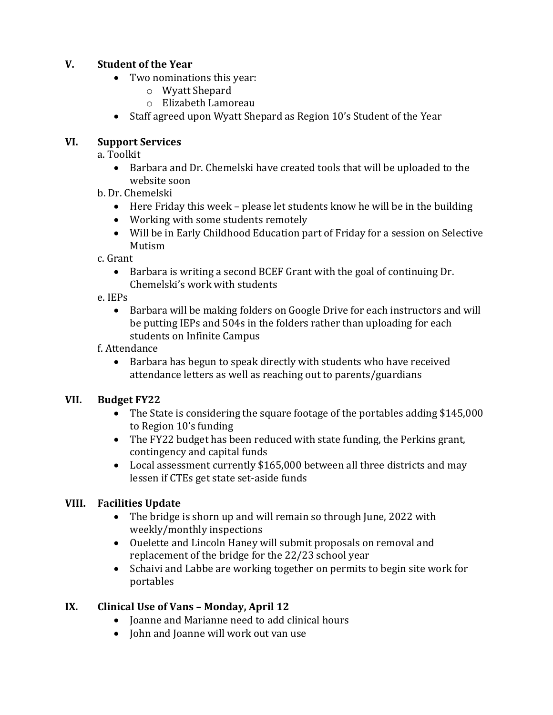### **V. Student of the Year**

- Two nominations this year:
	- o Wyatt Shepard
	- o Elizabeth Lamoreau
- Staff agreed upon Wyatt Shepard as Region 10's Student of the Year

### **VI. Support Services**

a. Toolkit

- Barbara and Dr. Chemelski have created tools that will be uploaded to the website soon
- b. Dr. Chemelski
	- Here Friday this week please let students know he will be in the building
	- Working with some students remotely
	- Will be in Early Childhood Education part of Friday for a session on Selective Mutism

c. Grant

- Barbara is writing a second BCEF Grant with the goal of continuing Dr. Chemelski's work with students
- e. IEPs
	- Barbara will be making folders on Google Drive for each instructors and will be putting IEPs and 504s in the folders rather than uploading for each students on Infinite Campus
- f. Attendance
	- Barbara has begun to speak directly with students who have received attendance letters as well as reaching out to parents/guardians

### **VII. Budget FY22**

- The State is considering the square footage of the portables adding \$145,000 to Region 10's funding
- The FY22 budget has been reduced with state funding, the Perkins grant, contingency and capital funds
- Local assessment currently \$165,000 between all three districts and may lessen if CTEs get state set-aside funds

### **VIII. Facilities Update**

- The bridge is shorn up and will remain so through June, 2022 with weekly/monthly inspections
- Ouelette and Lincoln Haney will submit proposals on removal and replacement of the bridge for the 22/23 school year
- Schaivi and Labbe are working together on permits to begin site work for portables

### **IX. Clinical Use of Vans – Monday, April 12**

- Joanne and Marianne need to add clinical hours
- John and Joanne will work out van use